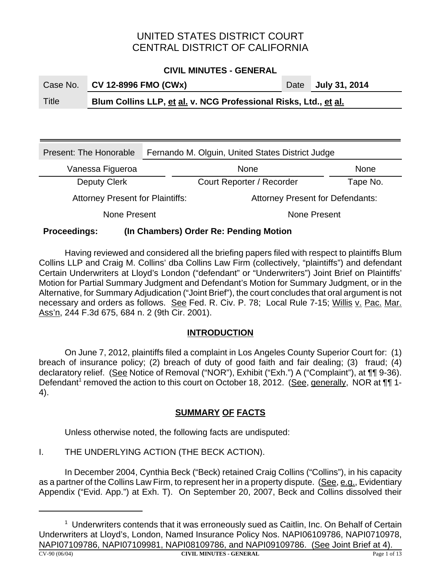#### **CIVIL MINUTES - GENERAL**

|       | Case No. CV 12-8996 FMO (CWx)                                    | Date July 31, 2014 |
|-------|------------------------------------------------------------------|--------------------|
| Title | Blum Collins LLP, et al. v. NCG Professional Risks, Ltd., et al. |                    |

| <b>Present: The Honorable</b>           | Fernando M. Olguin, United States District Judge |                                         |             |
|-----------------------------------------|--------------------------------------------------|-----------------------------------------|-------------|
| Vanessa Figueroa                        |                                                  | <b>None</b>                             | <b>None</b> |
| Deputy Clerk                            |                                                  | Court Reporter / Recorder               | Tape No.    |
| <b>Attorney Present for Plaintiffs:</b> |                                                  | <b>Attorney Present for Defendants:</b> |             |
| None Present                            |                                                  | None Present                            |             |

### **Proceedings: (In Chambers) Order Re: Pending Motion**

Having reviewed and considered all the briefing papers filed with respect to plaintiffs Blum Collins LLP and Craig M. Collins' dba Collins Law Firm (collectively, "plaintiffs") and defendant Certain Underwriters at Lloyd's London ("defendant" or "Underwriters") Joint Brief on Plaintiffs' Motion for Partial Summary Judgment and Defendant's Motion for Summary Judgment, or in the Alternative, for Summary Adjudication ("Joint Brief"), the court concludes that oral argument is not necessary and orders as follows. See Fed. R. Civ. P. 78; Local Rule 7-15; Willis v. Pac. Mar. Ass'n, 244 F.3d 675, 684 n. 2 (9th Cir. 2001).

### **INTRODUCTION**

On June 7, 2012, plaintiffs filed a complaint in Los Angeles County Superior Court for: (1) breach of insurance policy; (2) breach of duty of good faith and fair dealing; (3) fraud; (4) declaratory relief. (See Notice of Removal ("NOR"), Exhibit ("Exh.") A ("Complaint"), at ¶¶ 9-36). Defendant<sup>1</sup> removed the action to this court on October 18, 2012. (See, generally, NOR at  $\P\P$ 1-4).

### **SUMMARY OF FACTS**

Unless otherwise noted, the following facts are undisputed:

I. THE UNDERLYING ACTION (THE BECK ACTION).

In December 2004, Cynthia Beck ("Beck) retained Craig Collins ("Collins"), in his capacity as a partner of the Collins Law Firm, to represent her in a property dispute. (See, e.g., Evidentiary Appendix ("Evid. App.") at Exh. T). On September 20, 2007, Beck and Collins dissolved their

<sup>&</sup>lt;sup>1</sup> Underwriters contends that it was erroneously sued as Caitlin, Inc. On Behalf of Certain Underwriters at Lloyd's, London, Named Insurance Policy Nos. NAPI06109786, NAPI0710978, NAPI07109786, NAPI07109981, NAPI08109786, and NAPI09109786. (See Joint Brief at 4).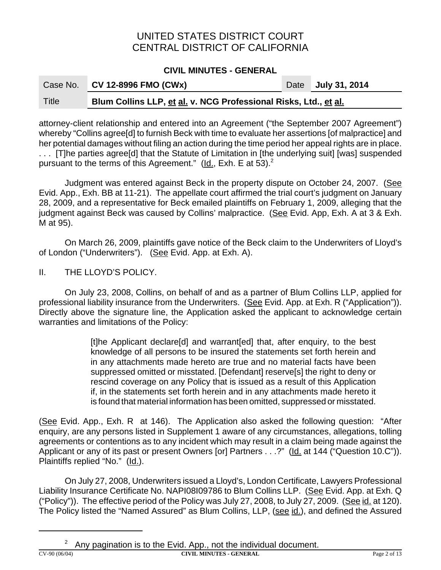#### **CIVIL MINUTES - GENERAL**

| Case No. | <b>CV 12-8996 FMO (CWx)</b>                                      | Date July 31, 2014 |
|----------|------------------------------------------------------------------|--------------------|
| Title    | Blum Collins LLP, et al. v. NCG Professional Risks, Ltd., et al. |                    |

attorney-client relationship and entered into an Agreement ("the September 2007 Agreement") whereby "Collins agree<sup>[d]</sup> to furnish Beck with time to evaluate her assertions [of malpractice] and her potential damages without filing an action during the time period her appeal rights are in place. . . . [T]he parties agree[d] that the Statute of Limitation in [the underlying suit] [was] suspended pursuant to the terms of this Agreement." ( $\frac{Id}{Id}$ , Exh. E at 53).<sup>2</sup>

Judgment was entered against Beck in the property dispute on October 24, 2007. (See Evid. App., Exh. BB at 11-21). The appellate court affirmed the trial court's judgment on January 28, 2009, and a representative for Beck emailed plaintiffs on February 1, 2009, alleging that the judgment against Beck was caused by Collins' malpractice. (See Evid. App, Exh. A at 3 & Exh. M at 95).

On March 26, 2009, plaintiffs gave notice of the Beck claim to the Underwriters of Lloyd's of London ("Underwriters"). (See Evid. App. at Exh. A).

II. THE LLOYD'S POLICY.

On July 23, 2008, Collins, on behalf of and as a partner of Blum Collins LLP, applied for professional liability insurance from the Underwriters. (See Evid. App. at Exh. R ("Application")). Directly above the signature line, the Application asked the applicant to acknowledge certain warranties and limitations of the Policy:

> [t]he Applicant declare[d] and warrant[ed] that, after enquiry, to the best knowledge of all persons to be insured the statements set forth herein and in any attachments made hereto are true and no material facts have been suppressed omitted or misstated. [Defendant] reserve[s] the right to deny or rescind coverage on any Policy that is issued as a result of this Application if, in the statements set forth herein and in any attachments made hereto it is found that material information has been omitted, suppressed or misstated.

(See Evid. App., Exh. R at 146). The Application also asked the following question: "After enquiry, are any persons listed in Supplement 1 aware of any circumstances, allegations, tolling agreements or contentions as to any incident which may result in a claim being made against the Applicant or any of its past or present Owners [or] Partners . . .?" (Id. at 144 ("Question 10.C")). Plaintiffs replied "No." (Id.).

On July 27, 2008, Underwriters issued a Lloyd's, London Certificate, Lawyers Professional Liability Insurance Certificate No. NAPI08I09786 to Blum Collins LLP. (See Evid. App. at Exh. Q ("Policy")). The effective period of the Policy was July 27, 2008, to July 27, 2009. (See id. at 120). The Policy listed the "Named Assured" as Blum Collins, LLP, (see id.), and defined the Assured

CV-90 (06/04) **CIVIL MINUTES - GENERAL** Page 2 of 13

<sup>2</sup> Any pagination is to the Evid. App., not the individual document.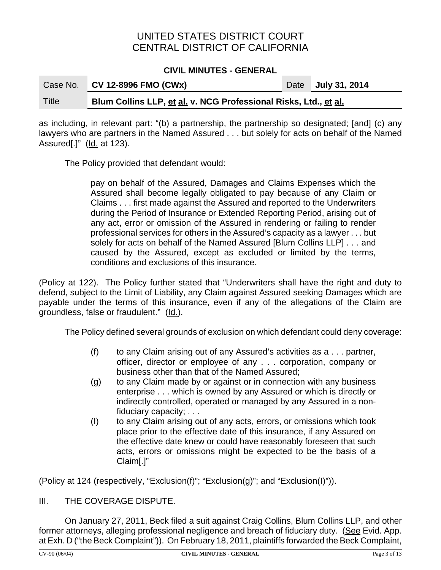#### **CIVIL MINUTES - GENERAL**

| Case No.     | CV 12-8996 FMO (CWx)                                             | Date July 31, 2014 |
|--------------|------------------------------------------------------------------|--------------------|
| <b>Title</b> | Blum Collins LLP, et al. v. NCG Professional Risks, Ltd., et al. |                    |

as including, in relevant part: "(b) a partnership, the partnership so designated; [and] (c) any lawyers who are partners in the Named Assured . . . but solely for acts on behalf of the Named Assured[.]" (Id. at 123).

The Policy provided that defendant would:

pay on behalf of the Assured, Damages and Claims Expenses which the Assured shall become legally obligated to pay because of any Claim or Claims . . . first made against the Assured and reported to the Underwriters during the Period of Insurance or Extended Reporting Period, arising out of any act, error or omission of the Assured in rendering or failing to render professional services for others in the Assured's capacity as a lawyer . . . but solely for acts on behalf of the Named Assured [Blum Collins LLP] . . . and caused by the Assured, except as excluded or limited by the terms, conditions and exclusions of this insurance.

(Policy at 122). The Policy further stated that "Underwriters shall have the right and duty to defend, subject to the Limit of Liability, any Claim against Assured seeking Damages which are payable under the terms of this insurance, even if any of the allegations of the Claim are groundless, false or fraudulent." (Id.).

The Policy defined several grounds of exclusion on which defendant could deny coverage:

- (f) to any Claim arising out of any Assured's activities as a . . . partner, officer, director or employee of any . . . corporation, company or business other than that of the Named Assured;
- (g) to any Claim made by or against or in connection with any business enterprise . . . which is owned by any Assured or which is directly or indirectly controlled, operated or managed by any Assured in a nonfiduciary capacity; . . .
- (I) to any Claim arising out of any acts, errors, or omissions which took place prior to the effective date of this insurance, if any Assured on the effective date knew or could have reasonably foreseen that such acts, errors or omissions might be expected to be the basis of a Claim[.]"

(Policy at 124 (respectively, "Exclusion(f)"; "Exclusion(g)"; and "Exclusion(I)")).

### III. THE COVERAGE DISPUTE.

On January 27, 2011, Beck filed a suit against Craig Collins, Blum Collins LLP, and other former attorneys, alleging professional negligence and breach of fiduciary duty. (See Evid. App. at Exh. D ("the Beck Complaint")). On February 18, 2011, plaintiffs forwarded the Beck Complaint,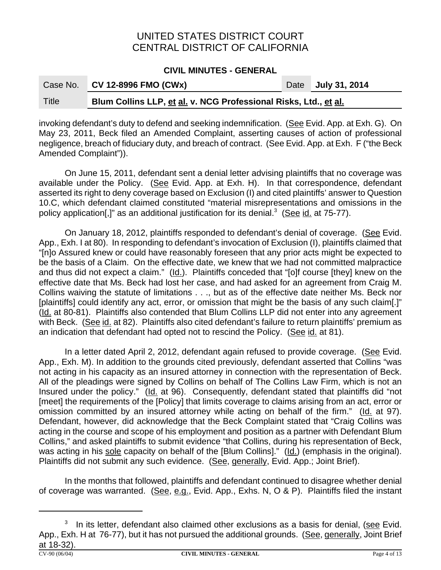| <b>CIVIL MINUTES - GENERAL</b> |                                                                  |  |                    |  |
|--------------------------------|------------------------------------------------------------------|--|--------------------|--|
| Case No.                       | CV 12-8996 FMO (CWx)                                             |  | Date July 31, 2014 |  |
| Title                          | Blum Collins LLP, et al. v. NCG Professional Risks, Ltd., et al. |  |                    |  |

invoking defendant's duty to defend and seeking indemnification. (See Evid. App. at Exh. G). On May 23, 2011, Beck filed an Amended Complaint, asserting causes of action of professional negligence, breach of fiduciary duty, and breach of contract. (See Evid. App. at Exh. F ("the Beck Amended Complaint")).

On June 15, 2011, defendant sent a denial letter advising plaintiffs that no coverage was available under the Policy. (See Evid. App. at Exh. H). In that correspondence, defendant asserted its right to deny coverage based on Exclusion (I) and cited plaintiffs' answer to Question 10.C, which defendant claimed constituted "material misrepresentations and omissions in the policy application[,]" as an additional justification for its denial.<sup>3</sup> (See id. at 75-77).

On January 18, 2012, plaintiffs responded to defendant's denial of coverage. (See Evid. App., Exh. I at 80). In responding to defendant's invocation of Exclusion (I), plaintiffs claimed that "[n]o Assured knew or could have reasonably foreseen that any prior acts might be expected to be the basis of a Claim. On the effective date, we knew that we had not committed malpractice and thus did not expect a claim." (Id.). Plaintiffs conceded that "[o]f course [they] knew on the effective date that Ms. Beck had lost her case, and had asked for an agreement from Craig M. Collins waiving the statute of limitations . . ., but as of the effective date neither Ms. Beck nor [plaintiffs] could identify any act, error, or omission that might be the basis of any such claim[.]" (Id. at 80-81). Plaintiffs also contended that Blum Collins LLP did not enter into any agreement with Beck. (See id. at 82). Plaintiffs also cited defendant's failure to return plaintiffs' premium as an indication that defendant had opted not to rescind the Policy. (See id. at 81).

In a letter dated April 2, 2012, defendant again refused to provide coverage. (See Evid. App., Exh. M). In addition to the grounds cited previously, defendant asserted that Collins "was not acting in his capacity as an insured attorney in connection with the representation of Beck. All of the pleadings were signed by Collins on behalf of The Collins Law Firm, which is not an Insured under the policy." (Id. at 96). Consequently, defendant stated that plaintiffs did "not [meet] the requirements of the [Policy] that limits coverage to claims arising from an act, error or omission committed by an insured attorney while acting on behalf of the firm." (Id. at 97). Defendant, however, did acknowledge that the Beck Complaint stated that "Craig Collins was acting in the course and scope of his employment and position as a partner with Defendant Blum Collins," and asked plaintiffs to submit evidence "that Collins, during his representation of Beck, was acting in his sole capacity on behalf of the [Blum Collins]." (Id.) (emphasis in the original). Plaintiffs did not submit any such evidence. (See, generally, Evid. App.; Joint Brief).

In the months that followed, plaintiffs and defendant continued to disagree whether denial of coverage was warranted. (See, e.g., Evid. App., Exhs. N, O & P). Plaintiffs filed the instant

<sup>3</sup> In its letter, defendant also claimed other exclusions as a basis for denial, (see Evid. App., Exh. H at 76-77), but it has not pursued the additional grounds. (See, generally, Joint Brief at  $18-32$ ).<br>CV-90 (06/04)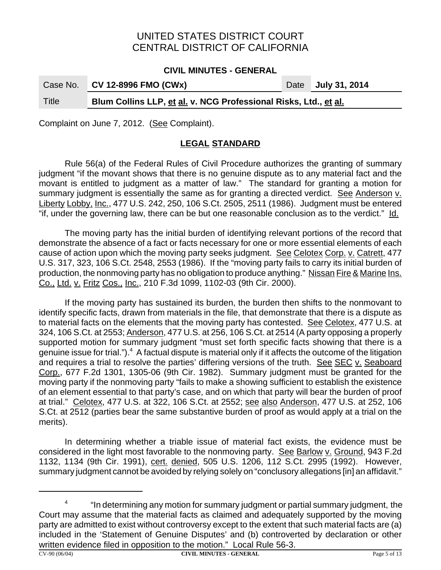#### **CIVIL MINUTES - GENERAL**

| Case No. | CV 12-8996 FMO (CWx)                                             | Date July 31, 2014 |
|----------|------------------------------------------------------------------|--------------------|
| Title    | Blum Collins LLP, et al. v. NCG Professional Risks, Ltd., et al. |                    |

Complaint on June 7, 2012. (See Complaint).

### **LEGAL STANDARD**

Rule 56(a) of the Federal Rules of Civil Procedure authorizes the granting of summary judgment "if the movant shows that there is no genuine dispute as to any material fact and the movant is entitled to judgment as a matter of law." The standard for granting a motion for summary judgment is essentially the same as for granting a directed verdict. See Anderson v. Liberty Lobby, Inc., 477 U.S. 242, 250, 106 S.Ct. 2505, 2511 (1986). Judgment must be entered  $\frac{m}{t}$  if, under the governing law, there can be but one reasonable conclusion as to the verdict." Id.

The moving party has the initial burden of identifying relevant portions of the record that demonstrate the absence of a fact or facts necessary for one or more essential elements of each cause of action upon which the moving party seeks judgment. See Celotex Corp. v. Catrett, 477 U.S. 317, 323, 106 S.Ct. 2548, 2553 (1986). If the "moving party fails to carry its initial burden of production, the nonmoving party has no obligation to produce anything." Nissan Fire & Marine Ins. Co., Ltd. v. Fritz Cos., Inc., 210 F.3d 1099, 1102-03 (9th Cir. 2000).

If the moving party has sustained its burden, the burden then shifts to the nonmovant to identify specific facts, drawn from materials in the file, that demonstrate that there is a dispute as to material facts on the elements that the moving party has contested. See Celotex, 477 U.S. at 324, 106 S.Ct. at 2553; Anderson, 477 U.S. at 256, 106 S.Ct. at 2514 (A party opposing a properly supported motion for summary judgment "must set forth specific facts showing that there is a genuine issue for trial.").<sup>4</sup> A factual dispute is material only if it affects the outcome of the litigation and requires a trial to resolve the parties' differing versions of the truth. See SEC v. Seaboard Corp., 677 F.2d 1301, 1305-06 (9th Cir. 1982). Summary judgment must be granted for the moving party if the nonmoving party "fails to make a showing sufficient to establish the existence of an element essential to that party's case, and on which that party will bear the burden of proof at trial." Celotex, 477 U.S. at 322, 106 S.Ct. at 2552; see also Anderson, 477 U.S. at 252, 106 S.Ct. at 2512 (parties bear the same substantive burden of proof as would apply at a trial on the merits).

In determining whether a triable issue of material fact exists, the evidence must be considered in the light most favorable to the nonmoving party. See Barlow v. Ground, 943 F.2d 1132, 1134 (9th Cir. 1991), cert. denied, 505 U.S. 1206, 112 S.Ct. 2995 (1992). However, summary judgment cannot be avoided by relying solely on "conclusory allegations [in] an affidavit."

<sup>4</sup> "In determining any motion for summary judgment or partial summary judgment, the Court may assume that the material facts as claimed and adequately supported by the moving party are admitted to exist without controversy except to the extent that such material facts are (a) included in the 'Statement of Genuine Disputes' and (b) controverted by declaration or other written evidence filed in opposition to the motion." Local Rule 56-3.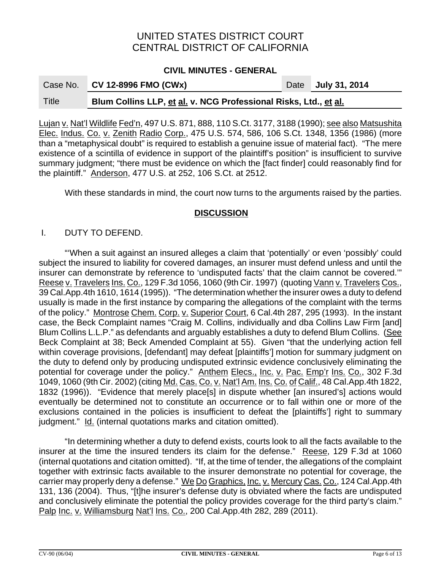| <b>CIVIL MINUTES - GENERAL</b> |  |
|--------------------------------|--|
|--------------------------------|--|

| Case No.     | <b>CV 12-8996 FMO (CWx)</b>                                      | Date July 31, 2014 |
|--------------|------------------------------------------------------------------|--------------------|
| <b>Title</b> | Blum Collins LLP, et al. v. NCG Professional Risks, Ltd., et al. |                    |

Lujan v. Nat'l Wildlife Fed'n, 497 U.S. 871, 888, 110 S.Ct. 3177, 3188 (1990); see also Matsushita Elec. Indus. Co. v. Zenith Radio Corp., 475 U.S. 574, 586, 106 S.Ct. 1348, 1356 (1986) (more than a "metaphysical doubt" is required to establish a genuine issue of material fact). "The mere existence of a scintilla of evidence in support of the plaintiff's position" is insufficient to survive summary judgment; "there must be evidence on which the [fact finder] could reasonably find for the plaintiff." Anderson, 477 U.S. at 252, 106 S.Ct. at 2512.

With these standards in mind, the court now turns to the arguments raised by the parties.

### **DISCUSSION**

### I. DUTY TO DEFEND.

"'When a suit against an insured alleges a claim that 'potentially' or even 'possibly' could subject the insured to liability for covered damages, an insurer must defend unless and until the insurer can demonstrate by reference to 'undisputed facts' that the claim cannot be covered.'" Reese v. Travelers Ins. Co., 129 F.3d 1056, 1060 (9th Cir. 1997) (quoting Vann v. Travelers Cos., 39 Cal.App.4th 1610, 1614 (1995)). "The determination whether the insurer owes a duty to defend usually is made in the first instance by comparing the allegations of the complaint with the terms of the policy." Montrose Chem. Corp. v. Superior Court, 6 Cal.4th 287, 295 (1993). In the instant case, the Beck Complaint names "Craig M. Collins, individually and dba Collins Law Firm [and] Blum Collins L.L.P." as defendants and arguably establishes a duty to defend Blum Collins. (See Beck Complaint at 38; Beck Amended Complaint at 55). Given "that the underlying action fell within coverage provisions, [defendant] may defeat [plaintiffs'] motion for summary judgment on the duty to defend only by producing undisputed extrinsic evidence conclusively eliminating the potential for coverage under the policy." Anthem Elecs., Inc. v. Pac. Emp'r Ins. Co., 302 F.3d 1049, 1060 (9th Cir. 2002) (citing Md. Cas. Co. v. Nat'l Am. Ins. Co. of Calif., 48 Cal.App.4th 1822, 1832 (1996)). "Evidence that merely place[s] in dispute whether [an insured's] actions would eventually be determined not to constitute an occurrence or to fall within one or more of the exclusions contained in the policies is insufficient to defeat the [plaintiffs'] right to summary judgment." Id. (internal quotations marks and citation omitted).

"In determining whether a duty to defend exists, courts look to all the facts available to the insurer at the time the insured tenders its claim for the defense." Reese, 129 F.3d at 1060 (internal quotations and citation omitted). "If, at the time of tender, the allegations of the complaint together with extrinsic facts available to the insurer demonstrate no potential for coverage, the carrier may properly deny a defense." We Do Graphics, Inc. v. Mercury Cas. Co., 124 Cal. App. 4th 131, 136 (2004). Thus, "[t]he insurer's defense duty is obviated where the facts are undisputed and conclusively eliminate the potential the policy provides coverage for the third party's claim." Palp Inc. v. Williamsburg Nat'l Ins. Co., 200 Cal.App.4th 282, 289 (2011).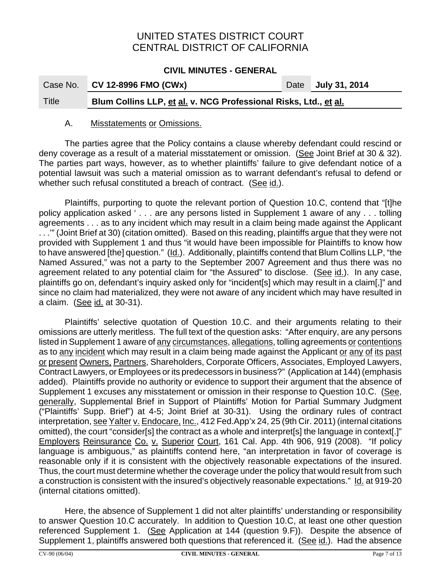#### **CIVIL MINUTES - GENERAL**

| Case No. | CV 12-8996 FMO (CWx)                                             | Date July 31, 2014 |
|----------|------------------------------------------------------------------|--------------------|
| Title    | Blum Collins LLP, et al. v. NCG Professional Risks, Ltd., et al. |                    |

### A. Misstatements or Omissions.

The parties agree that the Policy contains a clause whereby defendant could rescind or deny coverage as a result of a material misstatement or omission. (See Joint Brief at 30 & 32). The parties part ways, however, as to whether plaintiffs' failure to give defendant notice of a potential lawsuit was such a material omission as to warrant defendant's refusal to defend or whether such refusal constituted a breach of contract. (See id.).

Plaintiffs, purporting to quote the relevant portion of Question 10.C, contend that "[t]he policy application asked ' . . . are any persons listed in Supplement 1 aware of any . . . tolling agreements . . . as to any incident which may result in a claim being made against the Applicant . . .'" (Joint Brief at 30) (citation omitted). Based on this reading, plaintiffs argue that they were not provided with Supplement 1 and thus "it would have been impossible for Plaintiffs to know how to have answered [the] question." (Id.). Additionally, plaintiffs contend that Blum Collins LLP, "the Named Assured," was not a party to the September 2007 Agreement and thus there was no agreement related to any potential claim for "the Assured" to disclose. (See id.). In any case, plaintiffs go on, defendant's inquiry asked only for "incident[s] which may result in a claim[,]" and since no claim had materialized, they were not aware of any incident which may have resulted in a claim. (See id. at 30-31).

Plaintiffs' selective quotation of Question 10.C. and their arguments relating to their omissions are utterly meritless. The full text of the question asks: "After enquiry, are any persons listed in Supplement 1 aware of any circumstances, allegations, tolling agreements or contentions as to any incident which may result in a claim being made against the Applicant or any of its past or present Owners, Partners, Shareholders, Corporate Officers, Associates, Employed Lawyers, Contract Lawyers, or Employees or its predecessors in business?" (Application at 144) (emphasis added). Plaintiffs provide no authority or evidence to support their argument that the absence of Supplement 1 excuses any misstatement or omission in their response to Question 10.C. (See, generally, Supplemental Brief in Support of Plaintiffs' Motion for Partial Summary Judgment ("Plaintiffs' Supp. Brief") at 4-5; Joint Brief at 30-31). Using the ordinary rules of contract interpretation, see Yalter v. Endocare, Inc., 412 Fed.App'x 24, 25 (9th Cir. 2011) (internal citations omitted), the court "consider[s] the contract as a whole and interpret[s] the language in context[.]" Employers Reinsurance Co. v. Superior Court, 161 Cal. App. 4th 906, 919 (2008). "If policy language is ambiguous," as plaintiffs contend here, "an interpretation in favor of coverage is reasonable only if it is consistent with the objectively reasonable expectations of the insured. Thus, the court must determine whether the coverage under the policy that would result from such a construction is consistent with the insured's objectively reasonable expectations." Id. at 919-20 (internal citations omitted).

Here, the absence of Supplement 1 did not alter plaintiffs' understanding or responsibility to answer Question 10.C accurately. In addition to Question 10.C, at least one other question referenced Supplement 1. (See Application at 144 (question 9.F)). Despite the absence of Supplement 1, plaintiffs answered both questions that referenced it. (See id.). Had the absence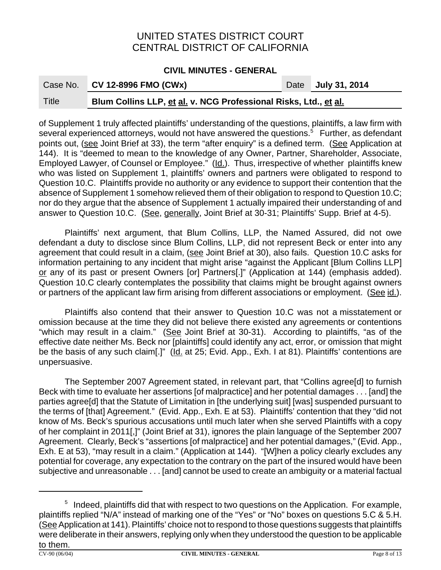#### **CIVIL MINUTES - GENERAL**

| Case No. | <b>CV 12-8996 FMO (CWx)</b>                                      | Date July 31, 2014 |
|----------|------------------------------------------------------------------|--------------------|
| Title    | Blum Collins LLP, et al. v. NCG Professional Risks, Ltd., et al. |                    |

of Supplement 1 truly affected plaintiffs' understanding of the questions, plaintiffs, a law firm with several experienced attorneys, would not have answered the questions.<sup>5</sup> Further, as defendant points out, (see Joint Brief at 33), the term "after enquiry" is a defined term. (See Application at 144). It is "deemed to mean to the knowledge of any Owner, Partner, Shareholder, Associate, Employed Lawyer, of Counsel or Employee." (Id.). Thus, irrespective of whether plaintiffs knew who was listed on Supplement 1, plaintiffs' owners and partners were obligated to respond to Question 10.C. Plaintiffs provide no authority or any evidence to support their contention that the absence of Supplement 1 somehow relieved them of their obligation to respond to Question 10.C; nor do they argue that the absence of Supplement 1 actually impaired their understanding of and answer to Question 10.C. (See, generally, Joint Brief at 30-31; Plaintiffs' Supp. Brief at 4-5).

Plaintiffs' next argument, that Blum Collins, LLP, the Named Assured, did not owe defendant a duty to disclose since Blum Collins, LLP, did not represent Beck or enter into any agreement that could result in a claim, (see Joint Brief at 30), also fails. Question 10.C asks for information pertaining to any incident that might arise "against the Applicant [Blum Collins LLP] or any of its past or present Owners [or] Partners[.]" (Application at 144) (emphasis added). Question 10.C clearly contemplates the possibility that claims might be brought against owners or partners of the applicant law firm arising from different associations or employment. (See id.).

 Plaintiffs also contend that their answer to Question 10.C was not a misstatement or omission because at the time they did not believe there existed any agreements or contentions "which may result in a claim." (See Joint Brief at 30-31). According to plaintiffs, "as of the effective date neither Ms. Beck nor [plaintiffs] could identify any act, error, or omission that might be the basis of any such claim[.]" (Id. at 25; Evid. App., Exh. I at 81). Plaintiffs' contentions are unpersuasive.

The September 2007 Agreement stated, in relevant part, that "Collins agree[d] to furnish Beck with time to evaluate her assertions [of malpractice] and her potential damages . . . [and] the parties agree[d] that the Statute of Limitation in [the underlying suit] [was] suspended pursuant to the terms of [that] Agreement." (Evid. App., Exh. E at 53). Plaintiffs' contention that they "did not know of Ms. Beck's spurious accusations until much later when she served Plaintiffs with a copy of her complaint in 2011[,]" (Joint Brief at 31), ignores the plain language of the September 2007 Agreement. Clearly, Beck's "assertions [of malpractice] and her potential damages," (Evid. App., Exh. E at 53), "may result in a claim." (Application at 144). "[W]hen a policy clearly excludes any potential for coverage, any expectation to the contrary on the part of the insured would have been subjective and unreasonable . . . [and] cannot be used to create an ambiguity or a material factual

 $5$  Indeed, plaintiffs did that with respect to two questions on the Application. For example, plaintiffs replied "N/A" instead of marking one of the "Yes" or "No" boxes on questions 5.C & 5.H. (See Application at 141). Plaintiffs' choice not to respond to those questions suggests that plaintiffs were deliberate in their answers, replying only when they understood the question to be applicable to them.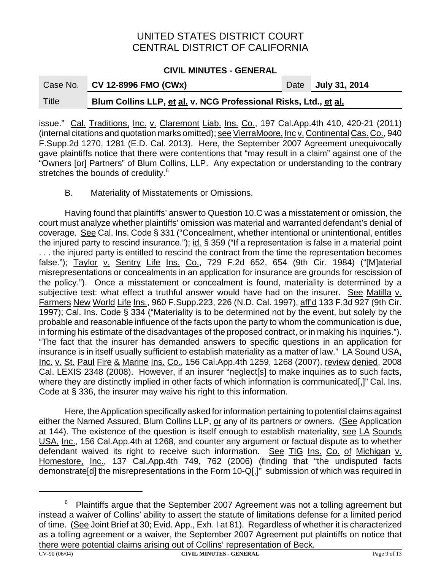| <b>CIVIL MINUTES - GENERAL</b> |                                                                  |  |                    |  |
|--------------------------------|------------------------------------------------------------------|--|--------------------|--|
| Case No.                       | CV 12-8996 FMO (CWx)                                             |  | Date July 31, 2014 |  |
| Title                          | Blum Collins LLP, et al. v. NCG Professional Risks, Ltd., et al. |  |                    |  |

issue." Cal. Traditions, Inc. v. Claremont Liab. Ins. Co., 197 Cal.App.4th 410, 420-21 (2011) (internal citations and quotation marks omitted); see VierraMoore, Inc v. Continental Cas. Co., 940 F.Supp.2d 1270, 1281 (E.D. Cal. 2013). Here, the September 2007 Agreement unequivocally gave plaintiffs notice that there were contentions that "may result in a claim" against one of the "Owners [or] Partners" of Blum Collins, LLP. Any expectation or understanding to the contrary stretches the bounds of credulity.<sup>6</sup>

### B. Materiality of Misstatements or Omissions.

Having found that plaintiffs' answer to Question 10.C was a misstatement or omission, the court must analyze whether plaintiffs' omission was material and warranted defendant's denial of coverage. See Cal. Ins. Code § 331 ("Concealment, whether intentional or unintentional, entitles the injured party to rescind insurance."); id. § 359 ("If a representation is false in a material point ... the injured party is entitled to rescind the contract from the time the representation becomes false."); Taylor v. Sentry Life Ins. Co., 729 F.2d 652, 654 (9th Cir. 1984) ("[M]aterial misrepresentations or concealments in an application for insurance are grounds for rescission of the policy."). Once a misstatement or concealment is found, materiality is determined by a subjective test: what effect a truthful answer would have had on the insurer. See Matilla v. Farmers New World Life Ins., 960 F.Supp.223, 226 (N.D. Cal. 1997), aff'd 133 F.3d 927 (9th Cir. 1997); Cal. Ins. Code § 334 ("Materiality is to be determined not by the event, but solely by the probable and reasonable influence of the facts upon the party to whom the communication is due, in forming his estimate of the disadvantages of the proposed contract, or in making his inquiries."). "The fact that the insurer has demanded answers to specific questions in an application for insurance is in itself usually sufficient to establish materiality as a matter of law." LA Sound USA, Inc. v. St. Paul Fire & Marine Ins. Co., 156 Cal.App.4th 1259, 1268 (2007), review denied, 2008 Cal. LEXIS 2348 (2008). However, if an insurer "neglect[s] to make inquiries as to such facts, where they are distinctly implied in other facts of which information is communicated[,]" Cal. Ins. Code at § 336, the insurer may waive his right to this information.

Here, the Application specifically asked for information pertaining to potential claims against either the Named Assured, Blum Collins LLP, or any of its partners or owners. (See Application at 144). The existence of the question is itself enough to establish materiality, see LA Sounds USA, Inc., 156 Cal.App.4th at 1268, and counter any argument or factual dispute as to whether defendant waived its right to receive such information. See TIG Ins. Co. of Michigan v. Homestore, Inc., 137 Cal.App.4th 749, 762 (2006) (finding that "the undisputed facts demonstrate[d] the misrepresentations in the Form 10-Q[,]" submission of which was required in

<sup>6</sup> Plaintiffs argue that the September 2007 Agreement was not a tolling agreement but instead a waiver of Collins' ability to assert the statute of limitations defense for a limited period of time. (See Joint Brief at 30; Evid. App., Exh. I at 81). Regardless of whether it is characterized as a tolling agreement or a waiver, the September 2007 Agreement put plaintiffs on notice that there were potential claims arising out of Collins' representation of Beck.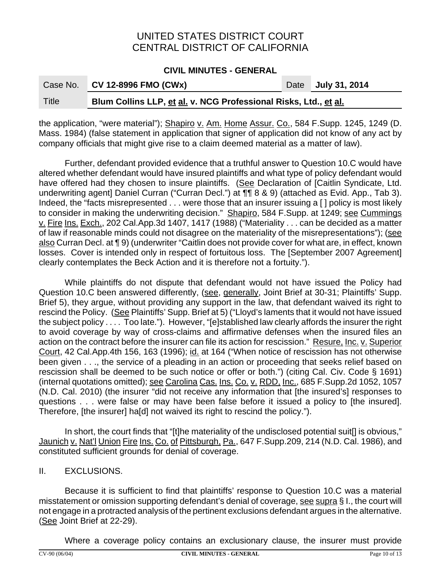| <b>CIVIL MINUTES - GENERAL</b> |                                                                  |  |                    |  |
|--------------------------------|------------------------------------------------------------------|--|--------------------|--|
| Case No.                       | CV 12-8996 FMO (CWx)                                             |  | Date July 31, 2014 |  |
| Title                          | Blum Collins LLP, et al. v. NCG Professional Risks, Ltd., et al. |  |                    |  |

the application, "were material"); Shapiro v. Am. Home Assur. Co., 584 F. Supp. 1245, 1249 (D. Mass. 1984) (false statement in application that signer of application did not know of any act by company officials that might give rise to a claim deemed material as a matter of law).

Further, defendant provided evidence that a truthful answer to Question 10.C would have altered whether defendant would have insured plaintiffs and what type of policy defendant would have offered had they chosen to insure plaintiffs. (See Declaration of [Caitlin Syndicate, Ltd. underwriting agent] Daniel Curran ("Curran Decl.") at  $\P\P$  8 & 9) (attached as Evid. App., Tab 3). Indeed, the "facts misrepresented . . . were those that an insurer issuing a [] policy is most likely to consider in making the underwriting decision." Shapiro, 584 F.Supp. at 1249; see Cummings v. Fire Ins. Exch., 202 Cal.App.3d 1407, 1417 (1988) ("Materiality . . . can be decided as a matter of law if reasonable minds could not disagree on the materiality of the misrepresentations"); (see also Curran Decl. at ¶ 9) (underwriter "Caitlin does not provide cover for what are, in effect, known losses. Cover is intended only in respect of fortuitous loss. The [September 2007 Agreement] clearly contemplates the Beck Action and it is therefore not a fortuity.").

While plaintiffs do not dispute that defendant would not have issued the Policy had Question 10.C been answered differently, (see, generally, Joint Brief at 30-31; Plaintiffs' Supp. Brief 5), they argue, without providing any support in the law, that defendant waived its right to rescind the Policy. (See Plaintiffs' Supp. Brief at 5) ("Lloyd's laments that it would not have issued the subject policy . . . . Too late."). However, "[e]stablished law clearly affords the insurer the right to avoid coverage by way of cross-claims and affirmative defenses when the insured files an action on the contract before the insurer can file its action for rescission." Resure, Inc. v. Superior Court, 42 Cal.App.4th 156, 163 (1996); id. at 164 ("When notice of rescission has not otherwise been given . . ., the service of a pleading in an action or proceeding that seeks relief based on rescission shall be deemed to be such notice or offer or both.") (citing Cal. Civ. Code § 1691) (internal quotations omitted); see Carolina Cas. Ins. Co. v. RDD, Inc., 685 F.Supp.2d 1052, 1057 (N.D. Cal. 2010) (the insurer "did not receive any information that [the insured's] responses to questions . . . were false or may have been false before it issued a policy to [the insured]. Therefore, [the insurer] ha[d] not waived its right to rescind the policy.").

In short, the court finds that "[t]he materiality of the undisclosed potential suit[] is obvious," Jaunich v. Nat'l Union Fire Ins. Co. of Pittsburgh, Pa., 647 F. Supp. 209, 214 (N.D. Cal. 1986), and constituted sufficient grounds for denial of coverage.

II. EXCLUSIONS.

Because it is sufficient to find that plaintiffs' response to Question 10.C was a material misstatement or omission supporting defendant's denial of coverage, see supra § I., the court will not engage in a protracted analysis of the pertinent exclusions defendant argues in the alternative. (See Joint Brief at 22-29).

Where a coverage policy contains an exclusionary clause, the insurer must provide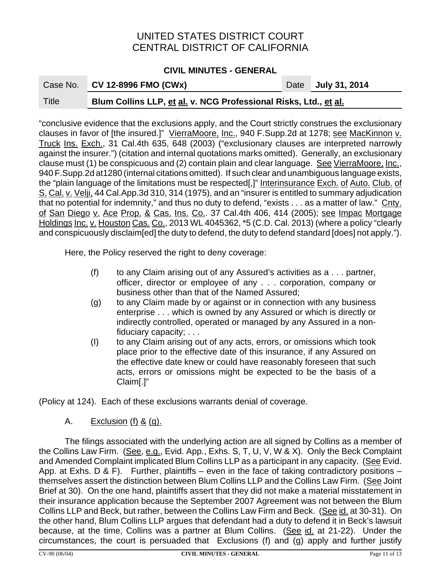#### **CIVIL MINUTES - GENERAL**

| Case No.     | <b>CV 12-8996 FMO (CWx)</b>                                      |  | Date July 31, 2014 |  |
|--------------|------------------------------------------------------------------|--|--------------------|--|
| <b>Title</b> | Blum Collins LLP, et al. v. NCG Professional Risks, Ltd., et al. |  |                    |  |

"conclusive evidence that the exclusions apply, and the Court strictly construes the exclusionary clauses in favor of [the insured.]" VierraMoore, Inc., 940 F.Supp.2d at 1278; see MacKinnon v. Truck Ins. Exch., 31 Cal.4th 635, 648 (2003) ("exclusionary clauses are interpreted narrowly against the insurer.") (citation and internal quotations marks omitted). Generally, an exclusionary clause must (1) be conspicuous and (2) contain plain and clear language. See VierraMoore, Inc., 940 F.Supp.2d at1280 (internal citations omitted). If such clear and unambiguous language exists, the "plain language of the limitations must be respected[,]" Interinsurance Exch. of Auto. Club. of S. Cal. v. Velji, 44 Cal.App.3d 310, 314 (1975), and an "insurer is entitled to summary adjudication that no potential for indemnity," and thus no duty to defend, "exists . . . as a matter of law." Cnty. of San Diego v. Ace Prop. & Cas. Ins. Co.. 37 Cal.4th 406, 414 (2005); see Impac Mortgage Holdings Inc. v. Houston Cas. Co., 2013 WL 4045362, \*5 (C.D. Cal. 2013) (where a policy "clearly and conspicuously disclaim[ed] the duty to defend, the duty to defend standard [does] not apply.").

Here, the Policy reserved the right to deny coverage:

- (f) to any Claim arising out of any Assured's activities as  $a \ldots$  partner, officer, director or employee of any . . . corporation, company or business other than that of the Named Assured;
- (g) to any Claim made by or against or in connection with any business enterprise . . . which is owned by any Assured or which is directly or indirectly controlled, operated or managed by any Assured in a nonfiduciary capacity; . . .
- (I) to any Claim arising out of any acts, errors, or omissions which took place prior to the effective date of this insurance, if any Assured on the effective date knew or could have reasonably foreseen that such acts, errors or omissions might be expected to be the basis of a Claim[.]"

(Policy at 124). Each of these exclusions warrants denial of coverage.

### A. Exclusion  $(f)$  &  $(g)$ .

The filings associated with the underlying action are all signed by Collins as a member of the Collins Law Firm. (See, e.g., Evid. App., Exhs. S, T, U, V, W & X). Only the Beck Complaint and Amended Complaint implicated Blum Collins LLP as a participant in any capacity. (See Evid. App. at Exhs. D & F). Further, plaintiffs – even in the face of taking contradictory positions – themselves assert the distinction between Blum Collins LLP and the Collins Law Firm. (See Joint Brief at 30). On the one hand, plaintiffs assert that they did not make a material misstatement in their insurance application because the September 2007 Agreement was not between the Blum Collins LLP and Beck, but rather, between the Collins Law Firm and Beck. (See id. at 30-31). On the other hand, Blum Collins LLP argues that defendant had a duty to defend it in Beck's lawsuit because, at the time, Collins was a partner at Blum Collins. (See id. at 21-22). Under the circumstances, the court is persuaded that Exclusions (f) and (g) apply and further justify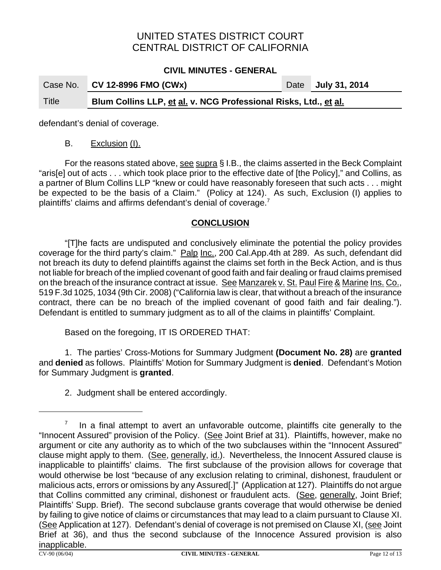#### **CIVIL MINUTES - GENERAL**

| Case No. | CV 12-8996 FMO (CWx)                                             |  | Date July 31, 2014 |  |
|----------|------------------------------------------------------------------|--|--------------------|--|
| Title    | Blum Collins LLP, et al. v. NCG Professional Risks, Ltd., et al. |  |                    |  |

defendant's denial of coverage.

B. Exclusion (I).

For the reasons stated above, see supra  $\S$  I.B., the claims asserted in the Beck Complaint "aris[e] out of acts . . . which took place prior to the effective date of [the Policy]," and Collins, as a partner of Blum Collins LLP "knew or could have reasonably foreseen that such acts . . . might be expected to be the basis of a Claim." (Policy at 124). As such, Exclusion (I) applies to plaintiffs' claims and affirms defendant's denial of coverage.<sup>7</sup>

### **CONCLUSION**

"[T]he facts are undisputed and conclusively eliminate the potential the policy provides coverage for the third party's claim." Palp Inc., 200 Cal.App.4th at 289. As such, defendant did not breach its duty to defend plaintiffs against the claims set forth in the Beck Action, and is thus not liable for breach of the implied covenant of good faith and fair dealing or fraud claims premised on the breach of the insurance contract at issue. See Manzarek v. St. Paul Fire & Marine Ins. Co., 519 F.3d 1025, 1034 (9th Cir. 2008) ("California law is clear, that without a breach of the insurance contract, there can be no breach of the implied covenant of good faith and fair dealing."). Defendant is entitled to summary judgment as to all of the claims in plaintiffs' Complaint.

Based on the foregoing, IT IS ORDERED THAT:

1. The parties' Cross-Motions for Summary Judgment **(Document No. 28)** are **granted** and **denied** as follows. Plaintiffs' Motion for Summary Judgment is **denied**. Defendant's Motion for Summary Judgment is **granted**.

2. Judgment shall be entered accordingly.

<sup>7</sup> In a final attempt to avert an unfavorable outcome, plaintiffs cite generally to the "Innocent Assured" provision of the Policy. (See Joint Brief at 31). Plaintiffs, however, make no argument or cite any authority as to which of the two subclauses within the "Innocent Assured" clause might apply to them. (See, generally, id.). Nevertheless, the Innocent Assured clause is inapplicable to plaintiffs' claims. The first subclause of the provision allows for coverage that would otherwise be lost "because of any exclusion relating to criminal, dishonest, fraudulent or malicious acts, errors or omissions by any Assured[.]" (Application at 127). Plaintiffs do not argue that Collins committed any criminal, dishonest or fraudulent acts. (See, generally, Joint Brief; Plaintiffs' Supp. Brief). The second subclause grants coverage that would otherwise be denied by failing to give notice of claims or circumstances that may lead to a claim pursuant to Clause XI. (See Application at 127). Defendant's denial of coverage is not premised on Clause XI, (see Joint Brief at 36), and thus the second subclause of the Innocence Assured provision is also inapplicable.